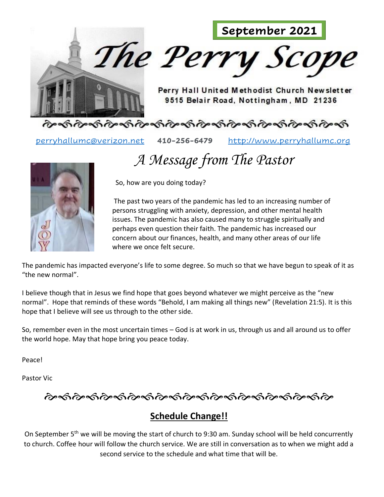

[perryhallumc@verizon.net](mailto:perryhallumc@verizon.net) **410-256-6479** [http://www.perryhallumc.org](http://www.perryhallumc.org/)

 *A Message from The Pastor*



So, how are you doing today?

The past two years of the pandemic has led to an increasing number of persons struggling with anxiety, depression, and other mental health issues. The pandemic has also caused many to struggle spiritually and perhaps even question their faith. The pandemic has increased our concern about our finances, health, and many other areas of our life where we once felt secure.

The pandemic has impacted everyone's life to some degree. So much so that we have begun to speak of it as "the new normal".

I believe though that in Jesus we find hope that goes beyond whatever we might perceive as the "new normal". Hope that reminds of these words "Behold, I am making all things new" (Revelation 21:5). It is this hope that I believe will see us through to the other side.

So, remember even in the most uncertain times – God is at work in us, through us and all around us to offer the world hope. May that hope bring you peace today.

Peace!

Pastor Vic

ઌૺૡ૽ૹ૽ઌ૽ૹૹ૽ઌૹૹઌૹૹૹૹૹઌૡઌઌઌઌઌ

## **Schedule Change!!**

On September 5<sup>th</sup> we will be moving the start of church to 9:30 am. Sunday school will be held concurrently to church. Coffee hour will follow the church service. We are still in conversation as to when we might add a second service to the schedule and what time that will be.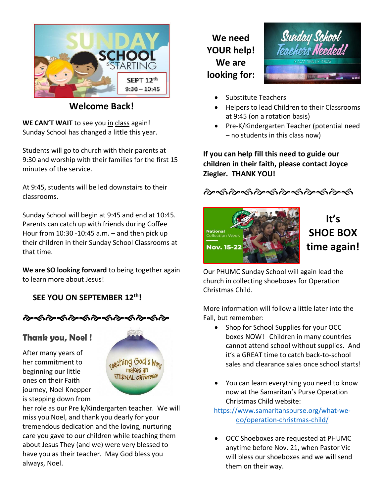

**Welcome Back!**

WE CAN'T WAIT to see you in class again! Sunday School has changed a little this year.

Students will go to church with their parents at 9:30 and worship with their families for the first 15 minutes of the service.

At 9:45, students will be led downstairs to their classrooms.

Sunday School will begin at 9:45 and end at 10:45. Parents can catch up with friends during Coffee Hour from 10:30 -10:45 a.m. – and then pick up their children in their Sunday School Classrooms at that time.

**We are SO looking forward** to being together again to learn more about Jesus!

 **SEE YOU ON SEPTEMBER 12th!** 



## **Thank you, Noel!**

After many years of her commitment to beginning our little ones on their Faith journey, Noel Knepper is stepping down from



her role as our Pre k/Kindergarten teacher. We will miss you Noel, and thank you dearly for your tremendous dedication and the loving, nurturing care you gave to our children while teaching them about Jesus They (and we) were very blessed to have you as their teacher. May God bless you always, Noel.

**We need YOUR help! We are looking for:**



- Substitute Teachers
- Helpers to lead Children to their Classrooms at 9:45 (on a rotation basis)
- Pre-K/Kindergarten Teacher (potential need – no students in this class now)

**If you can help fill this need to guide our children in their faith, please contact Joyce Ziegler. THANK YOU!**





# **It's SHOE BOX time again!**

Our PHUMC Sunday School will again lead the church in collecting shoeboxes for Operation Christmas Child.

More information will follow a little later into the Fall, but remember:

- Shop for School Supplies for your OCC boxes NOW! Children in many countries cannot attend school without supplies. And it's a GREAT time to catch back-to-school sales and clearance sales once school starts!
- You can learn everything you need to know now at the Samaritan's Purse Operation Christmas Child website:

[https://www.samaritanspurse.org/what-we](https://www.samaritanspurse.org/what-we-do/operation-christmas-child/)[do/operation-christmas-child/](https://www.samaritanspurse.org/what-we-do/operation-christmas-child/)

• OCC Shoeboxes are requested at PHUMC anytime before Nov. 21, when Pastor Vic will bless our shoeboxes and we will send them on their way.